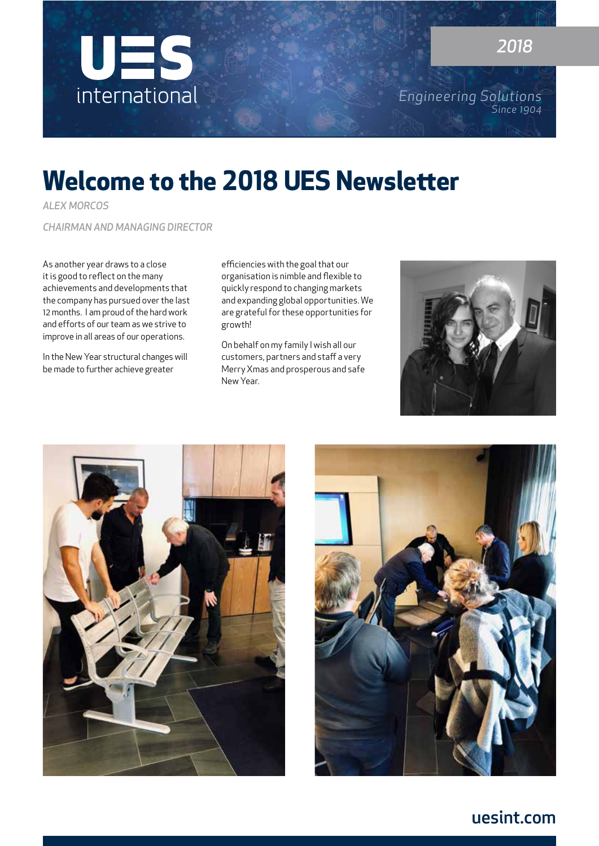

*Engineering Solutions Since 1904*

## **Welcome to the 2018 UES Newsletter**

*ALEX MORCOS* 

*CHAIRMAN AND MANAGING DIRECTOR*

As another year draws to a close it is good to reflect on the many achievements and developments that the company has pursued over the last 12 months. I am proud of the hard work and efforts of our team as we strive to improve in all areas of our operations.

In the New Year structural changes will be made to further achieve greater

efficiencies with the goal that our organisation is nimble and flexible to quickly respond to changing markets and expanding global opportunities. We are grateful for these opportunities for growth!

On behalf on my family I wish all our customers, partners and staff a very Merry Xmas and prosperous and safe New Year.







### uesint.com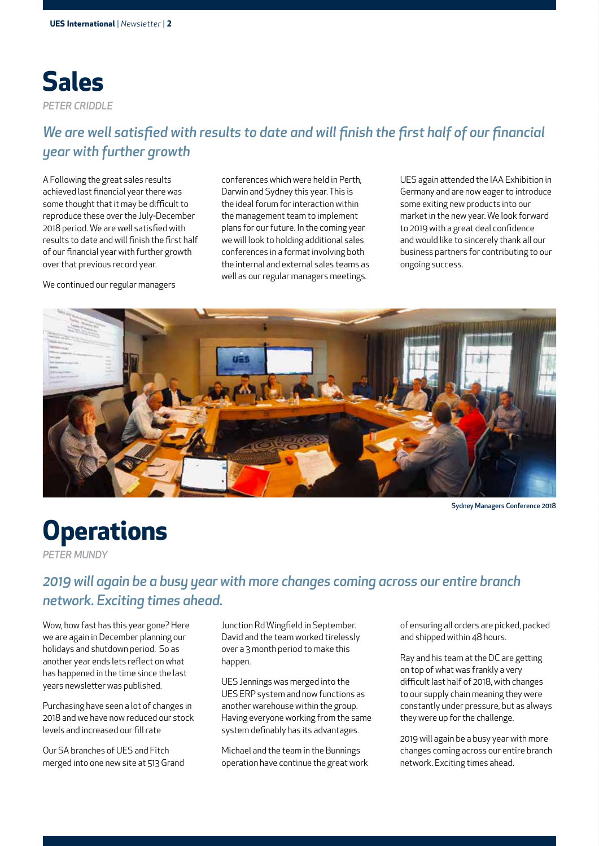

### *We are well satisfied with results to date and will finish the first half of our financial year with further growth*

A Following the great sales results achieved last financial year there was some thought that it may be difficult to reproduce these over the July-December 2018 period. We are well satisfied with results to date and will finish the first half of our financial year with further growth over that previous record year.

We continued our regular managers

conferences which were held in Perth, Darwin and Sydney this year. This is the ideal forum for interaction within the management team to implement plans for our future. In the coming year we will look to holding additional sales conferences in a format involving both the internal and external sales teams as well as our regular managers meetings.

UES again attended the IAA Exhibition in Germany and are now eager to introduce some exiting new products into our market in the new year. We look forward to 2019 with a great deal confidence and would like to sincerely thank all our business partners for contributing to our ongoing success.



Sydney Managers Conference 2018

## **Operations**

*PETER MUNDY*

### *2019 will again be a busy year with more changes coming across our entire branch network. Exciting times ahead.*

Wow, how fast has this year gone? Here we are again in December planning our holidays and shutdown period. So as another year ends lets reflect on what has happened in the time since the last years newsletter was published.

Purchasing have seen a lot of changes in 2018 and we have now reduced our stock levels and increased our fill rate

Our SA branches of UES and Fitch merged into one new site at 513 Grand Junction Rd Wingfield in September. David and the team worked tirelessly over a 3 month period to make this happen.

UES Jennings was merged into the UES ERP system and now functions as another warehouse within the group. Having everyone working from the same system definably has its advantages.

Michael and the team in the Bunnings operation have continue the great work

of ensuring all orders are picked, packed and shipped within 48 hours.

Ray and his team at the DC are getting on top of what was frankly a very difficult last half of 2018, with changes to our supply chain meaning they were constantly under pressure, but as always they were up for the challenge.

2019 will again be a busy year with more changes coming across our entire branch network. Exciting times ahead.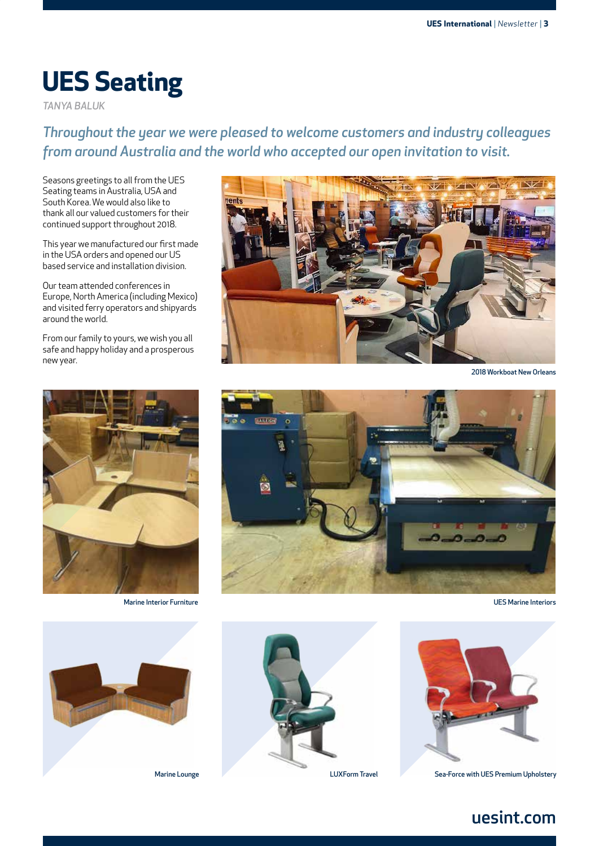## **UES Seating**

*TANYA BALUK*

*Throughout the year we were pleased to welcome customers and industry colleagues from around Australia and the world who accepted our open invitation to visit.*

Seasons greetings to all from the UES Seating teams in Australia, USA and South Korea. We would also like to thank all our valued customers for their continued support throughout 2018.

This year we manufactured our first made in the USA orders and opened our US based service and installation division.

Our team attended conferences in Europe, North America (including Mexico) and visited ferry operators and shipyards around the world.

From our family to yours, we wish you all safe and happy holiday and a prosperous new year.



Marine Interior Furniture



2018 Workboat New Orleans



UES Marine Interiors







LUXForm Travel Sea-Force with UES Premium Upholstery

### uesint.com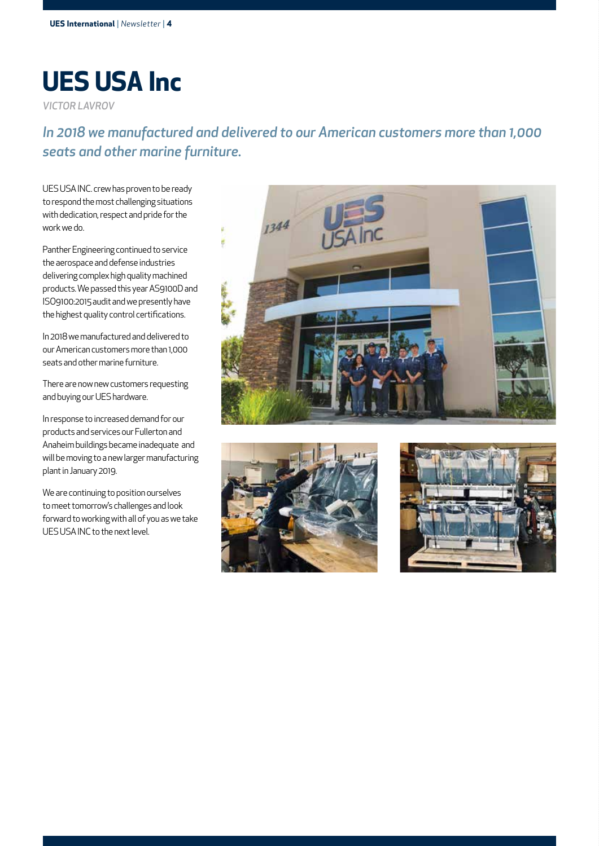# **UES USA Inc**

*VICTOR LAVROV*

### *In 2018 we manufactured and delivered to our American customers more than 1,000 seats and other marine furniture.*

UES USA INC. crew has proven to be ready to respond the most challenging situations with dedication, respect and pride for the work we do.

Panther Engineering continued to service the aerospace and defense industries delivering complex high quality machined products. We passed this year AS9100D and ISO9100:2015 audit and we presently have the highest quality control certifications.

In 2018 we manufactured and delivered to our American customers more than 1,000 seats and other marine furniture.

There are now new customers requesting and buying our UES hardware.

In response to increased demand for our products and services our Fullerton and Anaheim buildings became inadequate and will be moving to a new larger manufacturing plant in January 2019.

We are continuing to position ourselves to meet tomorrow's challenges and look forward to working with all of you as we take UES USA INC to the next level.





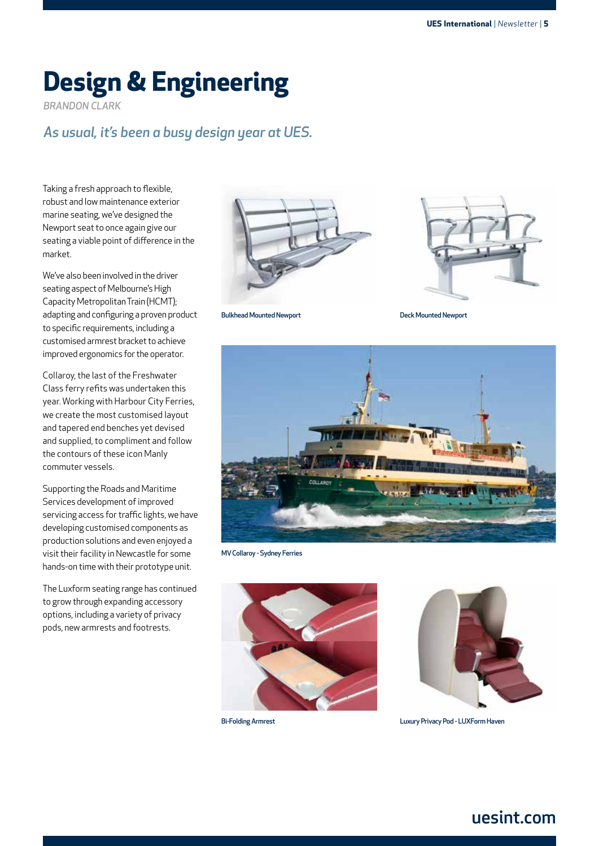## **Design & Engineering**

*BRANDON CLARK*

### *As usual, it's been a busy design year at UES.*

Taking a fresh approach to flexible, robust and low maintenance exterior marine seating, we've designed the Newport seat to once again give our seating a viable point of difference in the market.

We've also been involved in the driver seating aspect of Melbourne's High Capacity Metropolitan Train (HCMT); adapting and configuring a proven product to specific requirements, including a customised armrest bracket to achieve improved ergonomics for the operator.

Collaroy, the last of the Freshwater Class ferry refits was undertaken this year. Working with Harbour City Ferries, we create the most customised layout and tapered end benches yet devised and supplied, to compliment and follow the contours of these icon Manly commuter vessels.

Supporting the Roads and Maritime Services development of improved servicing access for traffic lights, we have developing customised components as production solutions and even enjoyed a visit their facility in Newcastle for some hands-on time with their prototype unit.

The Luxform seating range has continued to grow through expanding accessory options, including a variety of privacy pods, new armrests and footrests.





Bulkhead Mounted Newport

Deck Mounted Newport



MV Collaroy - Sydney Ferries





Bi-Folding Armrest Luxury Privacy Pod - LUXForm Haven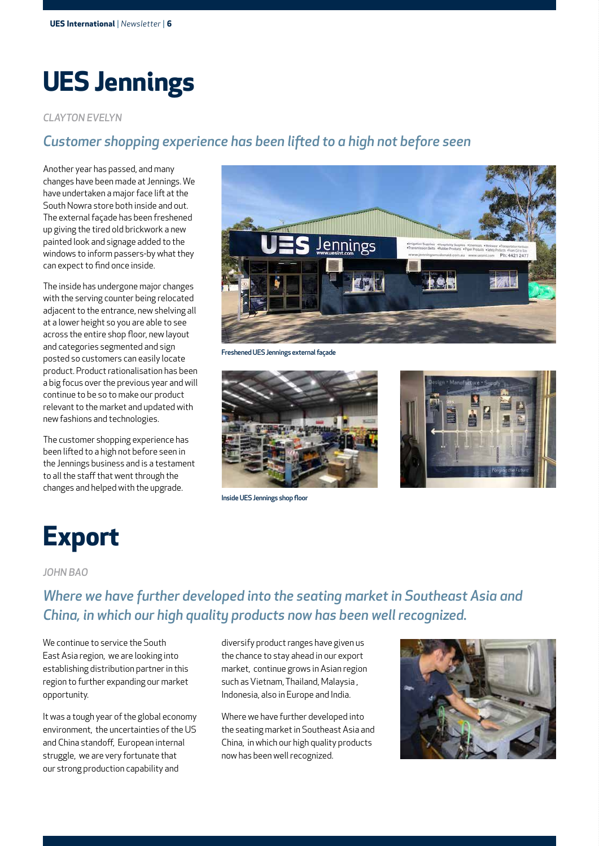## **UES Jennings**

#### *CLAYTON EVELYN*

#### *Customer shopping experience has been lifted to a high not before seen*

Another year has passed, and many changes have been made at Jennings. We have undertaken a major face lift at the South Nowra store both inside and out. The external façade has been freshened up giving the tired old brickwork a new painted look and signage added to the windows to inform passers-by what they can expect to find once inside.

The inside has undergone major changes with the serving counter being relocated adjacent to the entrance, new shelving all at a lower height so you are able to see across the entire shop floor, new layout and categories segmented and sign posted so customers can easily locate product. Product rationalisation has been a big focus over the previous year and will continue to be so to make our product relevant to the market and updated with new fashions and technologies.

The customer shopping experience has been lifted to a high not before seen in the Jennings business and is a testament to all the staff that went through the changes and helped with the upgrade.



Freshened UES Jennings external façade



Inside UES Jennings shop floor



## **Export**

#### *JOHN BAO*

### *Where we have further developed into the seating market in Southeast Asia and China, in which our high quality products now has been well recognized.*

We continue to service the South East Asia region, we are looking into establishing distribution partner in this region to further expanding our market opportunity.

It was a tough year of the global economy environment, the uncertainties of the US and China standoff, European internal struggle, we are very fortunate that our strong production capability and

diversify product ranges have given us the chance to stay ahead in our export market, continue grows in Asian region such as Vietnam, Thailand, Malaysia , Indonesia, also in Europe and India.

Where we have further developed into the seating market in Southeast Asia and China, in which our high quality products now has been well recognized.

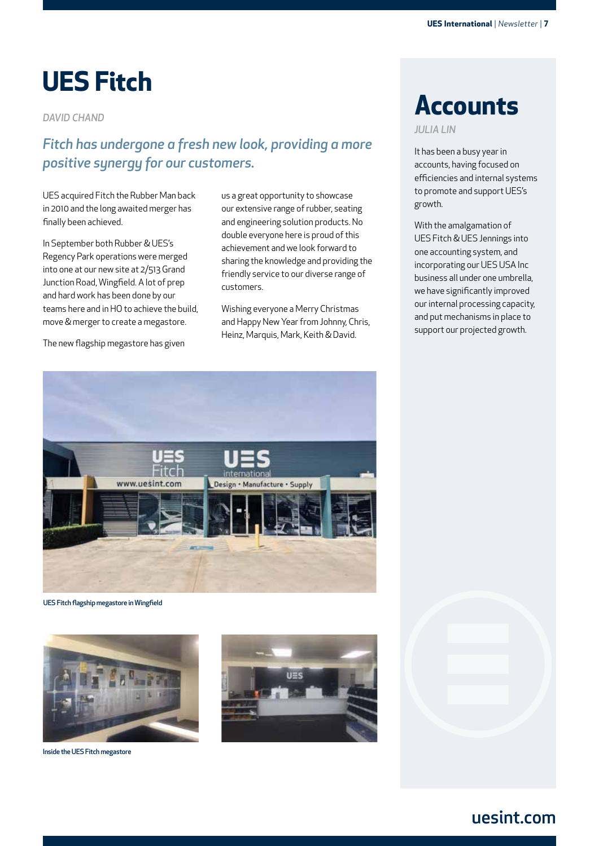## **UES Fitch**

*DAVID CHAND*

### *Fitch has undergone a fresh new look, providing a more positive synergy for our customers.*

UES acquired Fitch the Rubber Man back in 2010 and the long awaited merger has finally been achieved.

In September both Rubber & UES's Regency Park operations were merged into one at our new site at 2/513 Grand Junction Road, Wingfield. A lot of prep and hard work has been done by our teams here and in HO to achieve the build, move & merger to create a megastore.

The new flagship megastore has given

us a great opportunity to showcase our extensive range of rubber, seating and engineering solution products. No double everyone here is proud of this achievement and we look forward to sharing the knowledge and providing the friendly service to our diverse range of customers.

Wishing everyone a Merry Christmas and Happy New Year from Johnny, Chris, Heinz, Marquis, Mark, Keith & David.

## **Accounts**

*JULIA LIN*

It has been a busy year in accounts, having focused on efficiencies and internal systems to promote and support UES's growth.

With the amalgamation of UES Fitch & UES Jennings into one accounting system, and incorporating our UES USA Inc business all under one umbrella, we have significantly improved our internal processing capacity, and put mechanisms in place to support our projected growth.



UES Fitch flagship megastore in Wingfield



Inside the UES Fitch megastore



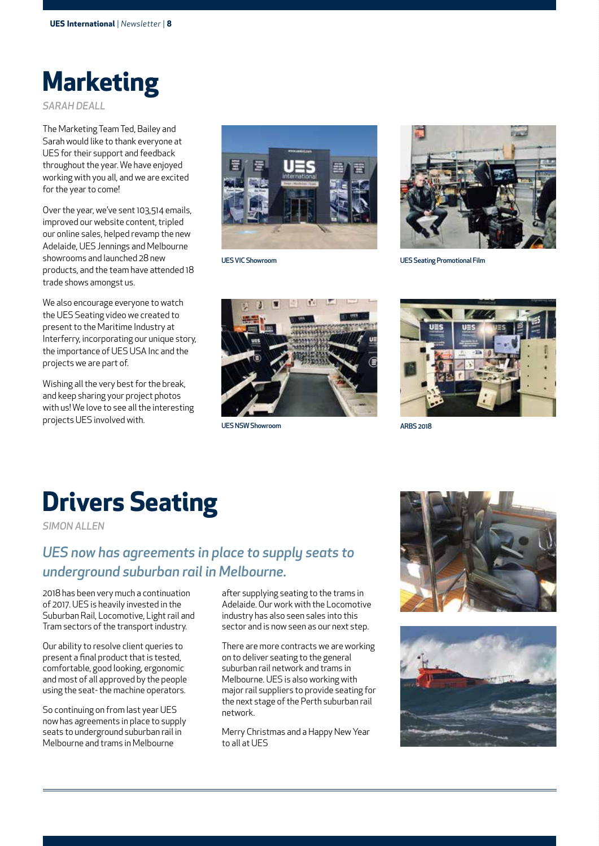

*SARAH DEALL*

The Marketing Team Ted, Bailey and Sarah would like to thank everyone at UES for their support and feedback throughout the year. We have enjoyed working with you all, and we are excited for the year to come!

Over the year, we've sent 103,514 emails, improved our website content, tripled our online sales, helped revamp the new Adelaide, UES Jennings and Melbourne showrooms and launched 28 new products, and the team have attended 18 trade shows amongst us.

We also encourage everyone to watch the UES Seating video we created to present to the Maritime Industry at Interferry, incorporating our unique story, the importance of UES USA Inc and the projects we are part of.

Wishing all the very best for the break, and keep sharing your project photos with us! We love to see all the interesting projects UES involved with.





UES VIC Showroom UES Seating Promotional Film





## **Drivers Seating**

*SIMON ALLEN*

### *UES now has agreements in place to supply seats to underground suburban rail in Melbourne.*

2018 has been very much a continuation of 2017. UES is heavily invested in the Suburban Rail, Locomotive, Light rail and Tram sectors of the transport industry.

Our ability to resolve client queries to present a final product that is tested, comfortable, good looking, ergonomic and most of all approved by the people using the seat- the machine operators.

So continuing on from last year UES now has agreements in place to supply seats to underground suburban rail in Melbourne and trams in Melbourne

after supplying seating to the trams in Adelaide. Our work with the Locomotive industry has also seen sales into this sector and is now seen as our next step.

There are more contracts we are working on to deliver seating to the general suburban rail network and trams in Melbourne. UES is also working with major rail suppliers to provide seating for the next stage of the Perth suburban rail network.

Merry Christmas and a Happy New Year to all at UES